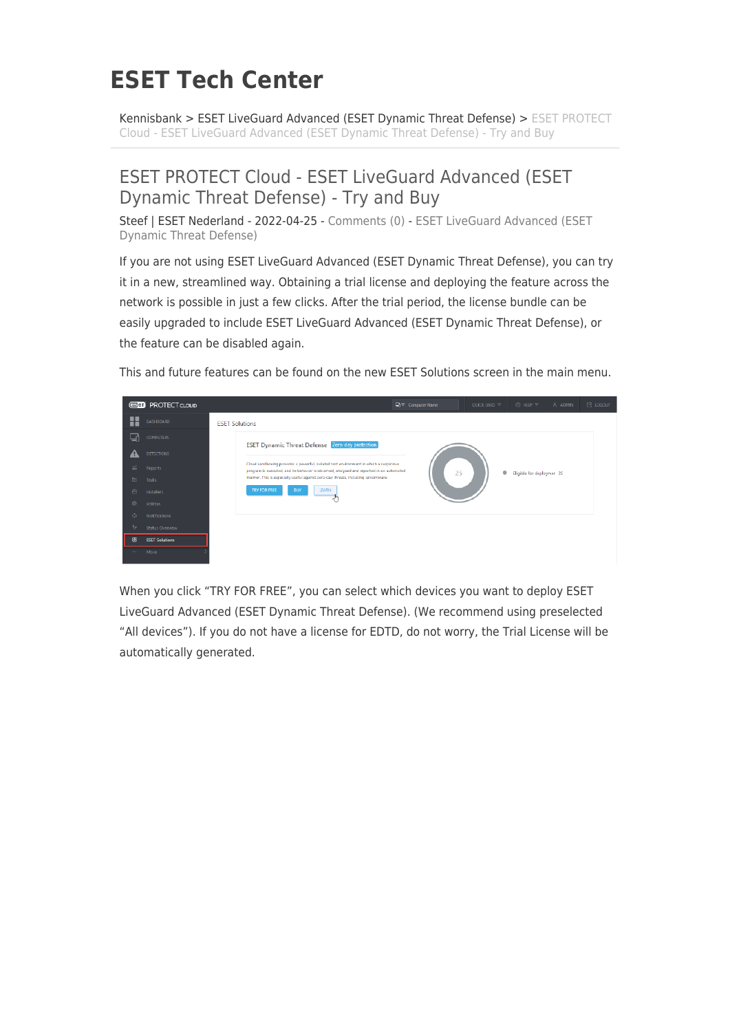## **ESET Tech Center**

[Kennisbank](https://techcenter.eset.nl/nl/kb) > [ESET LiveGuard Advanced \(ESET Dynamic Threat Defense\)](https://techcenter.eset.nl/nl/kb/eset-liveguard-advanced-eset-dynamic-threat-defense) > [ESET PROTECT](https://techcenter.eset.nl/nl/kb/articles/eset-protect-cloud-eset-liveguard-advanced-eset-dynamic-threat-defense-try-and-buy) [Cloud - ESET LiveGuard Advanced \(ESET Dynamic Threat Defense\) - Try and Buy](https://techcenter.eset.nl/nl/kb/articles/eset-protect-cloud-eset-liveguard-advanced-eset-dynamic-threat-defense-try-and-buy)

## ESET PROTECT Cloud - ESET LiveGuard Advanced (ESET Dynamic Threat Defense) - Try and Buy

Steef | ESET Nederland - 2022-04-25 - [Comments \(0\)](#page--1-0) - [ESET LiveGuard Advanced \(ESET](https://techcenter.eset.nl/nl/kb/eset-liveguard-advanced-eset-dynamic-threat-defense) [Dynamic Threat Defense\)](https://techcenter.eset.nl/nl/kb/eset-liveguard-advanced-eset-dynamic-threat-defense)

If you are not using ESET LiveGuard Advanced (ESET Dynamic Threat Defense), you can try it in a new, streamlined way. Obtaining a trial license and deploying the feature across the network is possible in just a few clicks. After the trial period, the license bundle can be easily upgraded to include ESET LiveGuard Advanced (ESET Dynamic Threat Defense), or the feature can be disabled again.

This and future features can be found on the new ESET Solutions screen in the main menu.



When you click "TRY FOR FREE", you can select which devices you want to deploy ESET LiveGuard Advanced (ESET Dynamic Threat Defense). (We recommend using preselected "All devices"). If you do not have a license for EDTD, do not worry, the Trial License will be automatically generated.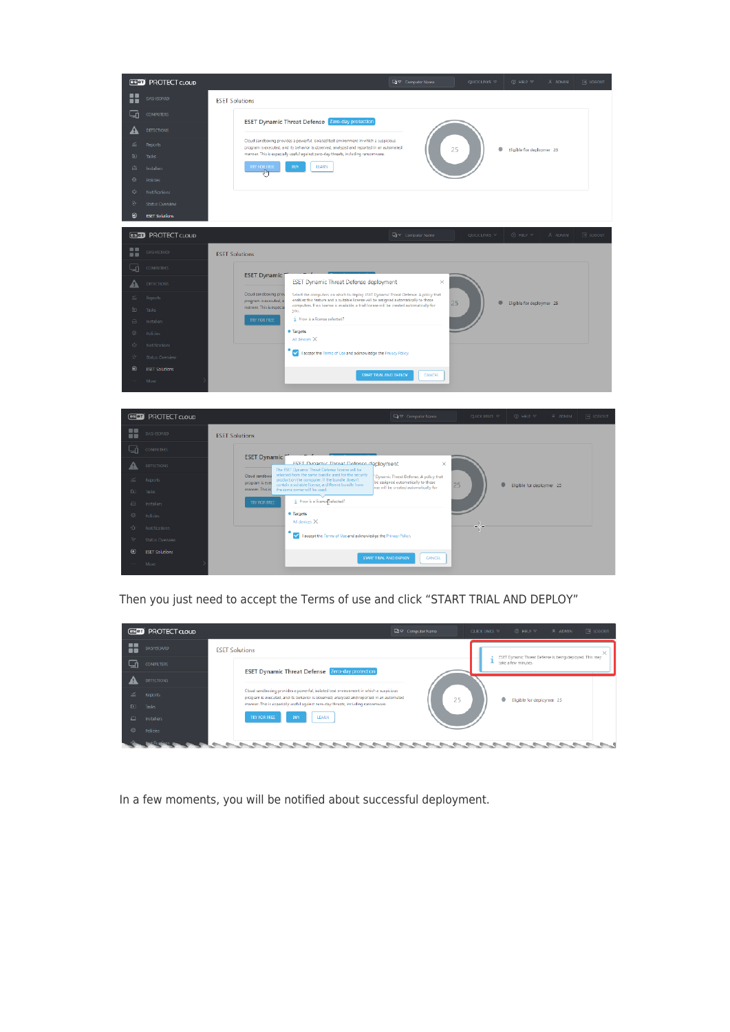

Then you just need to accept the Terms of use and click "START TRIAL AND DEPLOY"

| esen PROTECT CLOUD    |                                                                                                                                                                                   | □ Computer Name | $③$ HELP $\nabla$<br>QUICK LINKS $\nabla$ | $\overline{\mathbb{R}}$ LOGOUT<br>2 ADMIN               |
|-----------------------|-----------------------------------------------------------------------------------------------------------------------------------------------------------------------------------|-----------------|-------------------------------------------|---------------------------------------------------------|
| x<br>DASHBOARD        | <b>ESET Solutions</b>                                                                                                                                                             |                 |                                           | ж                                                       |
| 급<br><b>COMPUTERS</b> | <b>ESET Dynamic Threat Defense</b> Zero-day protection                                                                                                                            |                 | take a few minutes.                       | ESET Dynamic Threat Defense is being deployed. This may |
| <b>DETECTIONS</b>     |                                                                                                                                                                                   |                 |                                           |                                                         |
| z.<br>Reports.        | Cloud sandboxing provides a powerful, isolated test environment in which a suspicious<br>program is executed, and its behavior is observed, analyzed and reported in an automated | 25              | ٠                                         | Eligible for deploymer 25                               |
| $D =$<br>Tasks        | manner. This is especially useful against zero-day threats, including ransomware.                                                                                                 |                 |                                           |                                                         |
| 凸<br>Installers       | BUY<br>LEARN<br><b>TRY FOR FREE</b>                                                                                                                                               |                 |                                           |                                                         |
| ⊙<br>Policies         |                                                                                                                                                                                   |                 |                                           |                                                         |
|                       |                                                                                                                                                                                   |                 |                                           |                                                         |

In a few moments, you will be notified about successful deployment.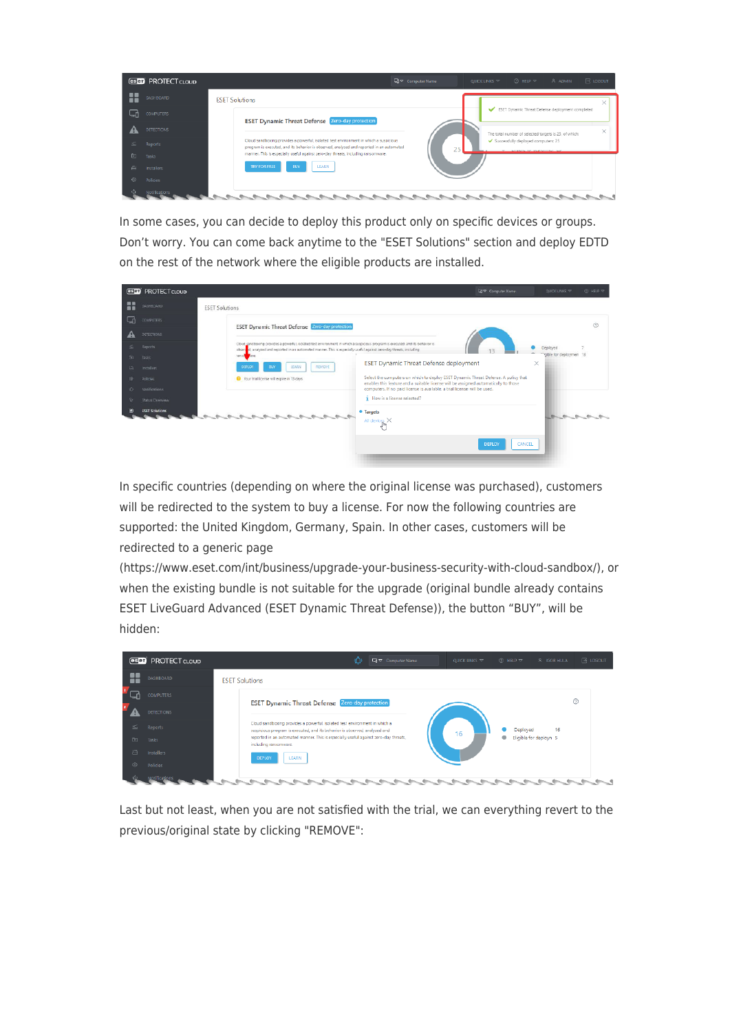

In some cases, you can decide to deploy this product only on specific devices or groups. Don't worry. You can come back anytime to the "ESET Solutions" section and deploy EDTD on the rest of the network where the eligible products are installed.

|                | <b>GSBD</b> PROTECT CLOUD |                                                                                                                                                                                                                                                        | ■マ Computer Name                                                                                                                                                                                                                                       | <b>QUICK LINKS TP</b>   | <b>C HELP P</b> |
|----------------|---------------------------|--------------------------------------------------------------------------------------------------------------------------------------------------------------------------------------------------------------------------------------------------------|--------------------------------------------------------------------------------------------------------------------------------------------------------------------------------------------------------------------------------------------------------|-------------------------|-----------------|
| 쁣              | DASHEOARD                 | <b>ESET Solutions</b>                                                                                                                                                                                                                                  |                                                                                                                                                                                                                                                        |                         |                 |
| g,             | <b>COMPUTERS</b>          | <b>ESET Dynamic Threat Defense Zero-day protection</b>                                                                                                                                                                                                 |                                                                                                                                                                                                                                                        |                         | $\circledcirc$  |
|                | DETECTIONS                |                                                                                                                                                                                                                                                        |                                                                                                                                                                                                                                                        |                         |                 |
| s.             | Reports                   | Cloud gandboxing provides a powerful, isolated test environment in which a suspicious program is executed, and its behavior is<br>obsen d, analyzed and reported in an automated manner. This is especially useful against zero-day threats, including |                                                                                                                                                                                                                                                        |                         |                 |
| 面              | Tasks                     | ransd<br>Fore.                                                                                                                                                                                                                                         |                                                                                                                                                                                                                                                        | "gible for deploymen 13 |                 |
| 当              | Installers                | <b>LEARN</b><br><b>REMOVE</b><br>DEPLOY<br>BUY                                                                                                                                                                                                         | <b>ESET Dynamic Threat Defense deployment</b>                                                                                                                                                                                                          | $\times$                |                 |
| $\odot$<br>ŵ.  | Policies<br>Netifications | Vour trial license will expire in 13 days                                                                                                                                                                                                              | Select the computers on which to deploy ESET Dynamic Threat Defense. A policy that<br>enables this feature and a suitable license will be assigned automatically to those<br>computers. If no paid license is available, a trial license will be used. |                         |                 |
| $\eta_{\rm c}$ | Status Overview           |                                                                                                                                                                                                                                                        | How is a license selected?                                                                                                                                                                                                                             |                         |                 |
| $\odot$        | <b>ESET Solutions</b>     |                                                                                                                                                                                                                                                        | · Targets<br>All devices X                                                                                                                                                                                                                             |                         |                 |
|                |                           |                                                                                                                                                                                                                                                        | CANCEL<br><b>DEPLOY</b>                                                                                                                                                                                                                                |                         |                 |

In specific countries (depending on where the original license was purchased), customers will be redirected to the system to buy a license. For now the following countries are supported: the United Kingdom, Germany, Spain. In other cases, customers will be redirected to a generic page

(https://www.eset.com/int/business/upgrade-your-business-security-with-cloud-sandbox/), or when the existing bundle is not suitable for the upgrade (original bundle already contains ESET LiveGuard Advanced (ESET Dynamic Threat Defense)), the button "BUY", will be hidden:



Last but not least, when you are not satisfied with the trial, we can everything revert to the previous/original state by clicking "REMOVE":